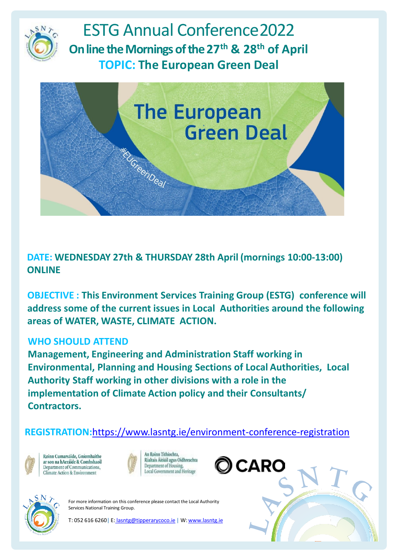

ESTG Annual Conference2022 **On line the Mornings of the 27th & 28th of April TOPIC: The European Green Deal**



**DATE: WEDNESDAY 27th & THURSDAY 28th April (mornings 10:00-13:00) ONLINE**

**OBJECTIVE : This Environment Services Training Group (ESTG) conference will address some of the current issues in Local Authorities around the following areas of WATER, WASTE, CLIMATE ACTION.**

## **WHO SHOULD ATTEND**

**Management, Engineering and Administration Staff working in Environmental, Planning and Housing Sections of Local Authorities, Local Authority Staff working in other divisions with a role in the implementation of Climate Action policy and their Consultants/ Contractors.**

**REGISTRATION:**<https://www.lasntg.ie/environment-conference-registration>



Roinn Cumarsáide, Gníomhaithe ar son na hAeráide & Comhshaoil Department of Communications. Climate Action & Environment









For more information on this conference please contact the Local Authority Services National Training Group.

T: 052 616 6260| E: [lasntg@tipperarycoco.ie](mailto:lasntg@tipperarycoco.ie) | W: [www.lasntg.ie](http://www.lasntg.ie/)